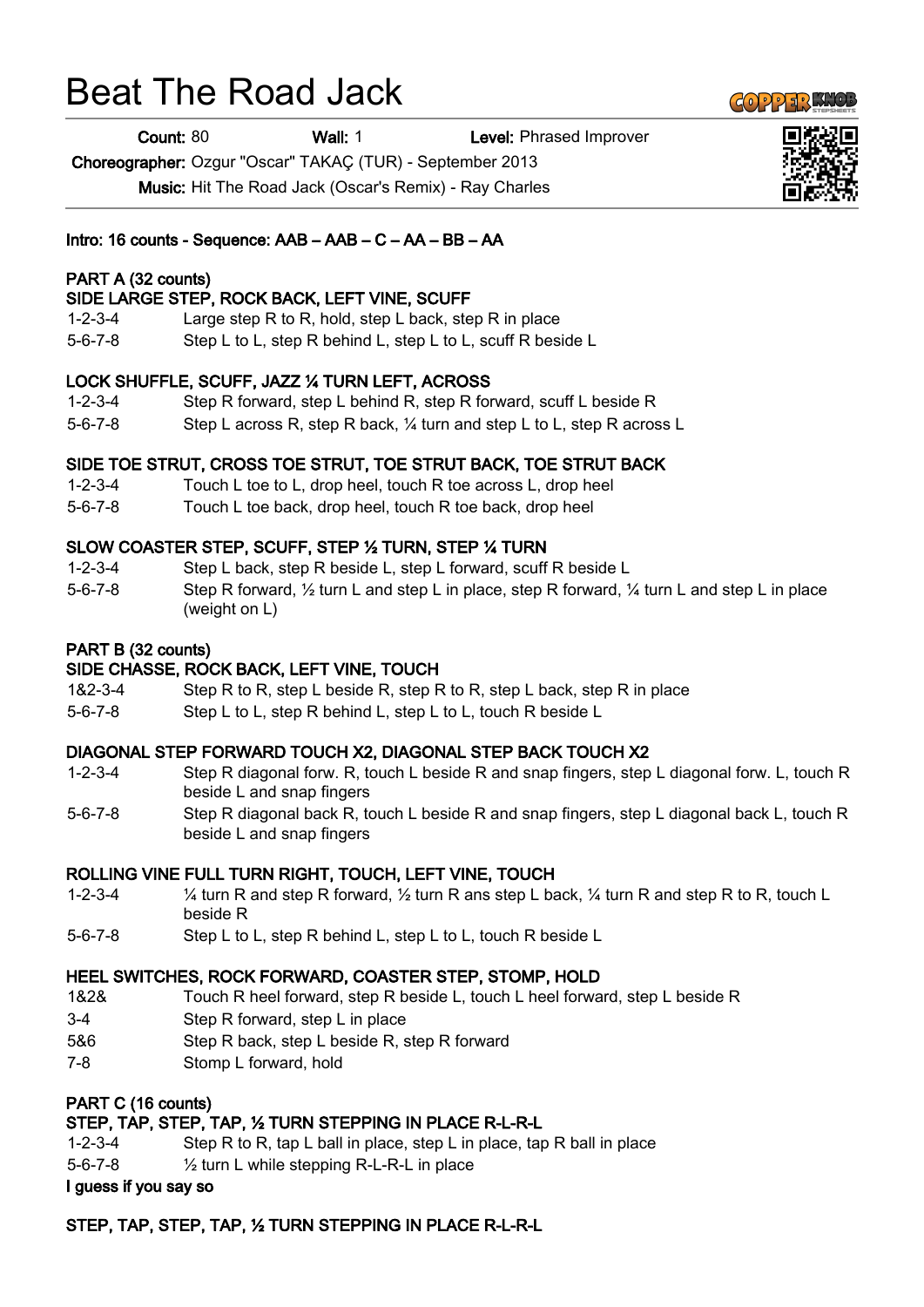# Beat The Road Jack

**Count: 80 Wall: 1** Level: Phrased Improver

Choreographer: Ozgur "Oscar" TAKAÇ (TUR) - September 2013

Music: Hit The Road Jack (Oscar's Remix) - Ray Charles

## Intro: 16 counts - Sequence: AAB – AAB – C – AA – BB – AA

## PART A (32 counts)

## SIDE LARGE STEP, ROCK BACK, LEFT VINE, SCUFF

- 1-2-3-4 Large step R to R, hold, step L back, step R in place
- 5-6-7-8 Step L to L, step R behind L, step L to L, scuff R beside L

### LOCK SHUFFLE, SCUFF, JAZZ ¼ TURN LEFT, ACROSS

- 1-2-3-4 Step R forward, step L behind R, step R forward, scuff L beside R
- 5-6-7-8 Step L across R, step R back, ¼ turn and step L to L, step R across L

### SIDE TOE STRUT, CROSS TOE STRUT, TOE STRUT BACK, TOE STRUT BACK

- 1-2-3-4 Touch L toe to L, drop heel, touch R toe across L, drop heel
- 5-6-7-8 Touch L toe back, drop heel, touch R toe back, drop heel

### SLOW COASTER STEP, SCUFF, STEP ½ TURN, STEP ¼ TURN

- 1-2-3-4 Step L back, step R beside L, step L forward, scuff R beside L
- 5-6-7-8 Step R forward, ½ turn L and step L in place, step R forward, ¼ turn L and step L in place (weight on L)

## PART B (32 counts)

### SIDE CHASSE, ROCK BACK, LEFT VINE, TOUCH

- 1&2-3-4 Step R to R, step L beside R, step R to R, step L back, step R in place
- 5-6-7-8 Step L to L, step R behind L, step L to L, touch R beside L

### DIAGONAL STEP FORWARD TOUCH X2, DIAGONAL STEP BACK TOUCH X2

- 1-2-3-4 Step R diagonal forw. R, touch L beside R and snap fingers, step L diagonal forw. L, touch R beside L and snap fingers
- 5-6-7-8 Step R diagonal back R, touch L beside R and snap fingers, step L diagonal back L, touch R beside L and snap fingers

### ROLLING VINE FULL TURN RIGHT, TOUCH, LEFT VINE, TOUCH

- 1-2-3-4 ¼ turn R and step R forward, ½ turn R ans step L back, ¼ turn R and step R to R, touch L beside R
- 5-6-7-8 Step L to L, step R behind L, step L to L, touch R beside L

### HEEL SWITCHES, ROCK FORWARD, COASTER STEP, STOMP, HOLD

- 1&2& Touch R heel forward, step R beside L, touch L heel forward, step L beside R
- 3-4 Step R forward, step L in place
- 5&6 Step R back, step L beside R, step R forward
- 7-8 Stomp L forward, hold

## PART C (16 counts)

### STEP, TAP, STEP, TAP, ½ TURN STEPPING IN PLACE R-L-R-L

- 1-2-3-4 Step R to R, tap L ball in place, step L in place, tap R ball in place
- 5-6-7-8 ½ turn L while stepping R-L-R-L in place

#### I guess if you say so

### STEP, TAP, STEP, TAP, ½ TURN STEPPING IN PLACE R-L-R-L